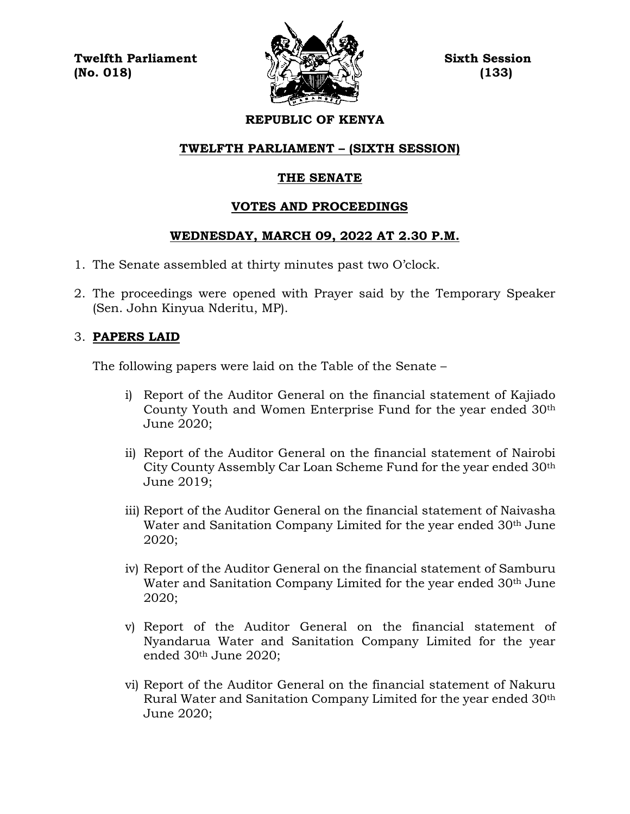**Twelfth Parliament Sixth Session**  $\langle \langle \mathbf{L} \rangle \rangle$  (No. 018) (133)



### **REPUBLIC OF KENYA**

#### **TWELFTH PARLIAMENT – (SIXTH SESSION)**

## **THE SENATE**

#### **VOTES AND PROCEEDINGS**

#### **WEDNESDAY, MARCH 09, 2022 AT 2.30 P.M.**

- 1. The Senate assembled at thirty minutes past two O'clock.
- 2. The proceedings were opened with Prayer said by the Temporary Speaker (Sen. John Kinyua Nderitu, MP).

#### 3. **PAPERS LAID**

The following papers were laid on the Table of the Senate –

- i) Report of the Auditor General on the financial statement of Kajiado County Youth and Women Enterprise Fund for the year ended 30th June 2020;
- ii) Report of the Auditor General on the financial statement of Nairobi City County Assembly Car Loan Scheme Fund for the year ended 30th June 2019;
- iii) Report of the Auditor General on the financial statement of Naivasha Water and Sanitation Company Limited for the year ended 30<sup>th</sup> June 2020;
- iv) Report of the Auditor General on the financial statement of Samburu Water and Sanitation Company Limited for the year ended 30<sup>th</sup> June 2020;
- v) Report of the Auditor General on the financial statement of Nyandarua Water and Sanitation Company Limited for the year ended 30th June 2020;
- vi) Report of the Auditor General on the financial statement of Nakuru Rural Water and Sanitation Company Limited for the year ended 30th June 2020;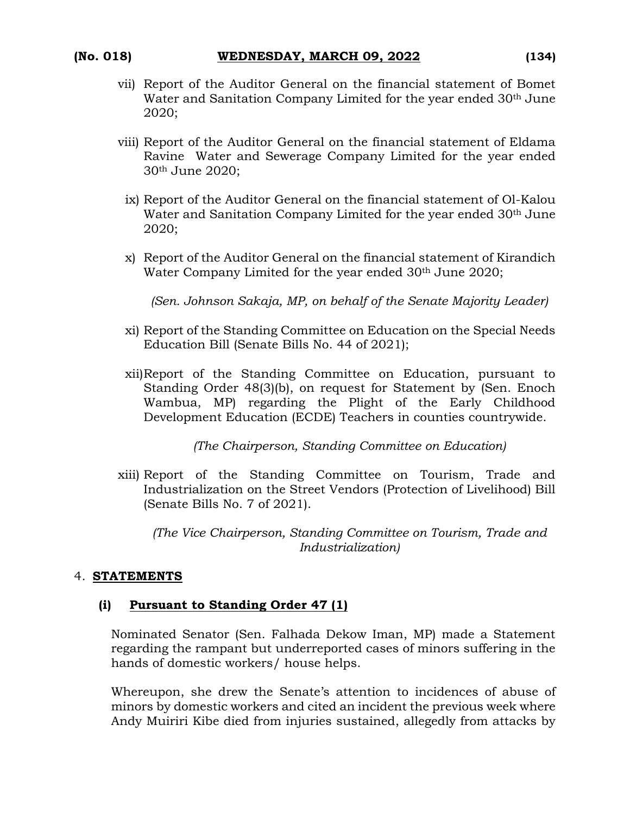- vii) Report of the Auditor General on the financial statement of Bomet Water and Sanitation Company Limited for the year ended 30<sup>th</sup> June 2020;
- viii) Report of the Auditor General on the financial statement of Eldama Ravine Water and Sewerage Company Limited for the year ended 30th June 2020;
	- ix) Report of the Auditor General on the financial statement of Ol-Kalou Water and Sanitation Company Limited for the year ended 30<sup>th</sup> June 2020;
- x) Report of the Auditor General on the financial statement of Kirandich Water Company Limited for the year ended 30<sup>th</sup> June 2020;

*(Sen. Johnson Sakaja, MP, on behalf of the Senate Majority Leader)*

- xi) Report of the Standing Committee on Education on the Special Needs Education Bill (Senate Bills No. 44 of 2021);
- xii)Report of the Standing Committee on Education, pursuant to Standing Order 48(3)(b), on request for Statement by (Sen. Enoch Wambua, MP) regarding the Plight of the Early Childhood Development Education (ECDE) Teachers in counties countrywide.

*(The Chairperson, Standing Committee on Education)*

xiii) Report of the Standing Committee on Tourism, Trade and Industrialization on the Street Vendors (Protection of Livelihood) Bill (Senate Bills No. 7 of 2021).

*(The Vice Chairperson, Standing Committee on Tourism, Trade and Industrialization)*

#### 4. **STATEMENTS**

#### **(i) Pursuant to Standing Order 47 (1)**

Nominated Senator (Sen. Falhada Dekow Iman, MP) made a Statement regarding the rampant but underreported cases of minors suffering in the hands of domestic workers/ house helps.

Whereupon, she drew the Senate's attention to incidences of abuse of minors by domestic workers and cited an incident the previous week where Andy Muiriri Kibe died from injuries sustained, allegedly from attacks by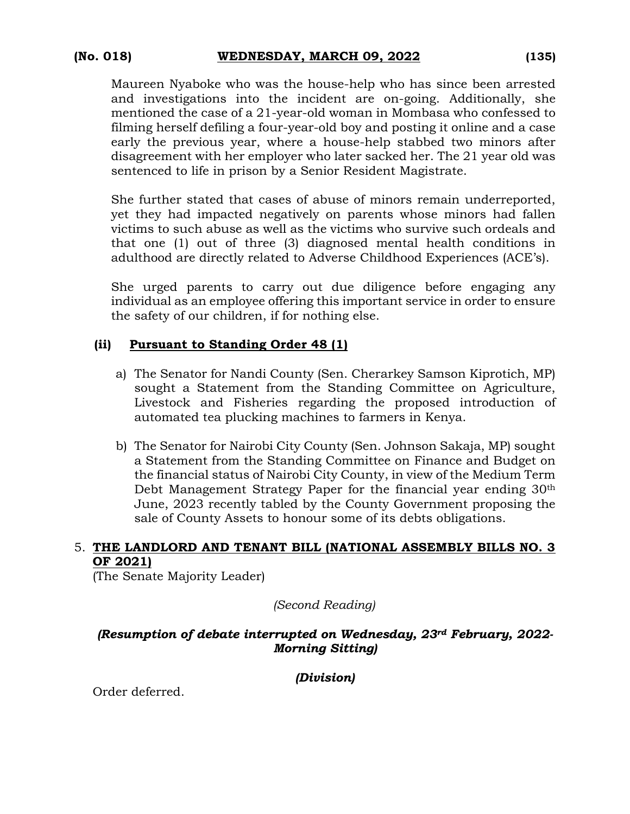Maureen Nyaboke who was the house-help who has since been arrested and investigations into the incident are on-going. Additionally, she mentioned the case of a 21-year-old woman in Mombasa who confessed to filming herself defiling a four-year-old boy and posting it online and a case early the previous year, where a house-help stabbed two minors after disagreement with her employer who later sacked her. The 21 year old was sentenced to life in prison by a Senior Resident Magistrate.

She further stated that cases of abuse of minors remain underreported, yet they had impacted negatively on parents whose minors had fallen victims to such abuse as well as the victims who survive such ordeals and that one (1) out of three (3) diagnosed mental health conditions in adulthood are directly related to Adverse Childhood Experiences (ACE's).

She urged parents to carry out due diligence before engaging any individual as an employee offering this important service in order to ensure the safety of our children, if for nothing else.

#### **(ii) Pursuant to Standing Order 48 (1)**

- a) The Senator for Nandi County (Sen. Cherarkey Samson Kiprotich, MP) sought a Statement from the Standing Committee on Agriculture, Livestock and Fisheries regarding the proposed introduction of automated tea plucking machines to farmers in Kenya.
- b) The Senator for Nairobi City County (Sen. Johnson Sakaja, MP) sought a Statement from the Standing Committee on Finance and Budget on the financial status of Nairobi City County, in view of the Medium Term Debt Management Strategy Paper for the financial year ending 30<sup>th</sup> June, 2023 recently tabled by the County Government proposing the sale of County Assets to honour some of its debts obligations.

## 5. **THE LANDLORD AND TENANT BILL (NATIONAL ASSEMBLY BILLS NO. 3 OF 2021)**

(The Senate Majority Leader)

*(Second Reading)*

#### *(Resumption of debate interrupted on Wednesday, 23rd February, 2022- Morning Sitting)*

*(Division)*

Order deferred.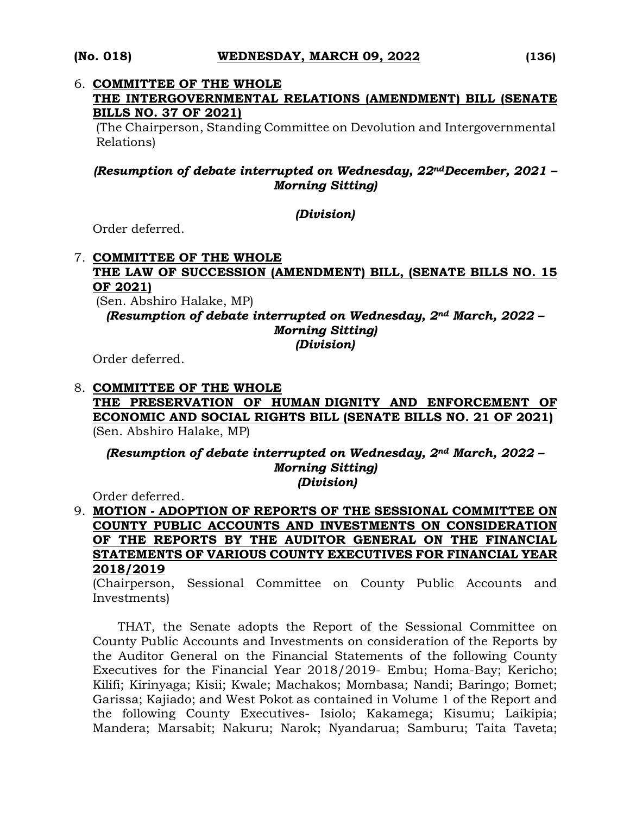#### 6. **COMMITTEE OF THE WHOLE**

## **THE INTERGOVERNMENTAL RELATIONS (AMENDMENT) BILL (SENATE BILLS NO. 37 OF 2021)**

(The Chairperson, Standing Committee on Devolution and Intergovernmental Relations)

### *(Resumption of debate interrupted on Wednesday, 22ndDecember, 2021 – Morning Sitting)*

#### *(Division)*

Order deferred.

#### 7. **COMMITTEE OF THE WHOLE**

## **THE LAW OF SUCCESSION (AMENDMENT) BILL, (SENATE BILLS NO. 15 OF 2021)**

(Sen. Abshiro Halake, MP)

*(Resumption of debate interrupted on Wednesday, 2nd March, 2022 – Morning Sitting)* 

*(Division)*

Order deferred.

#### 8. **COMMITTEE OF THE WHOLE THE PRESERVATION OF HUMAN DIGNITY AND ENFORCEMENT OF ECONOMIC AND SOCIAL RIGHTS BILL (SENATE BILLS NO. 21 OF 2021)**  (Sen. Abshiro Halake, MP)

*(Resumption of debate interrupted on Wednesday, 2nd March, 2022 – Morning Sitting) (Division)*

Order deferred.

# 9. **MOTION - ADOPTION OF REPORTS OF THE SESSIONAL COMMITTEE ON COUNTY PUBLIC ACCOUNTS AND INVESTMENTS ON CONSIDERATION OF THE REPORTS BY THE AUDITOR GENERAL ON THE FINANCIAL STATEMENTS OF VARIOUS COUNTY EXECUTIVES FOR FINANCIAL YEAR 2018/2019**

(Chairperson, Sessional Committee on County Public Accounts and Investments)

THAT, the Senate adopts the Report of the Sessional Committee on County Public Accounts and Investments on consideration of the Reports by the Auditor General on the Financial Statements of the following County Executives for the Financial Year 2018/2019- Embu; Homa-Bay; Kericho; Kilifi; Kirinyaga; Kisii; Kwale; Machakos; Mombasa; Nandi; Baringo; Bomet; Garissa; Kajiado; and West Pokot as contained in Volume 1 of the Report and the following County Executives- Isiolo; Kakamega; Kisumu; Laikipia; Mandera; Marsabit; Nakuru; Narok; Nyandarua; Samburu; Taita Taveta;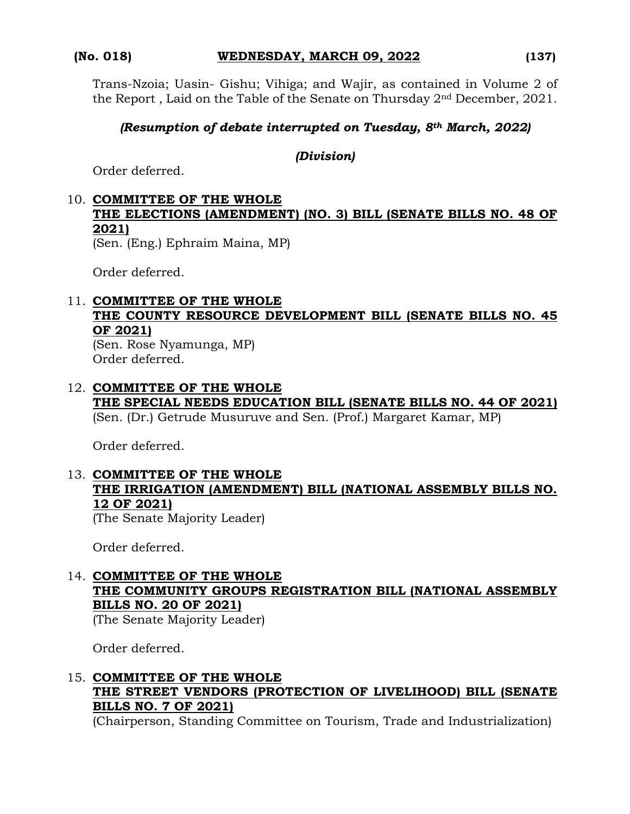Trans-Nzoia; Uasin- Gishu; Vihiga; and Wajir, as contained in Volume 2 of the Report , Laid on the Table of the Senate on Thursday 2nd December, 2021.

#### *(Resumption of debate interrupted on Tuesday, 8th March, 2022)*

#### *(Division)*

Order deferred.

# 10. **COMMITTEE OF THE WHOLE THE ELECTIONS (AMENDMENT) (NO. 3) BILL (SENATE BILLS NO. 48 OF 2021)**

(Sen. (Eng.) Ephraim Maina, MP)

Order deferred.

# 11. **COMMITTEE OF THE WHOLE THE COUNTY RESOURCE DEVELOPMENT BILL (SENATE BILLS NO. 45 OF 2021)**

(Sen. Rose Nyamunga, MP) Order deferred.

#### 12. **COMMITTEE OF THE WHOLE THE SPECIAL NEEDS EDUCATION BILL (SENATE BILLS NO. 44 OF 2021)**  (Sen. (Dr.) Getrude Musuruve and Sen. (Prof.) Margaret Kamar, MP)

Order deferred.

# 13. **COMMITTEE OF THE WHOLE THE IRRIGATION (AMENDMENT) BILL (NATIONAL ASSEMBLY BILLS NO. 12 OF 2021)**

(The Senate Majority Leader)

Order deferred.

# 14. **COMMITTEE OF THE WHOLE THE COMMUNITY GROUPS REGISTRATION BILL (NATIONAL ASSEMBLY BILLS NO. 20 OF 2021)**

(The Senate Majority Leader)

Order deferred.

# 15. **COMMITTEE OF THE WHOLE THE STREET VENDORS (PROTECTION OF LIVELIHOOD) BILL (SENATE BILLS NO. 7 OF 2021)**

(Chairperson, Standing Committee on Tourism, Trade and Industrialization)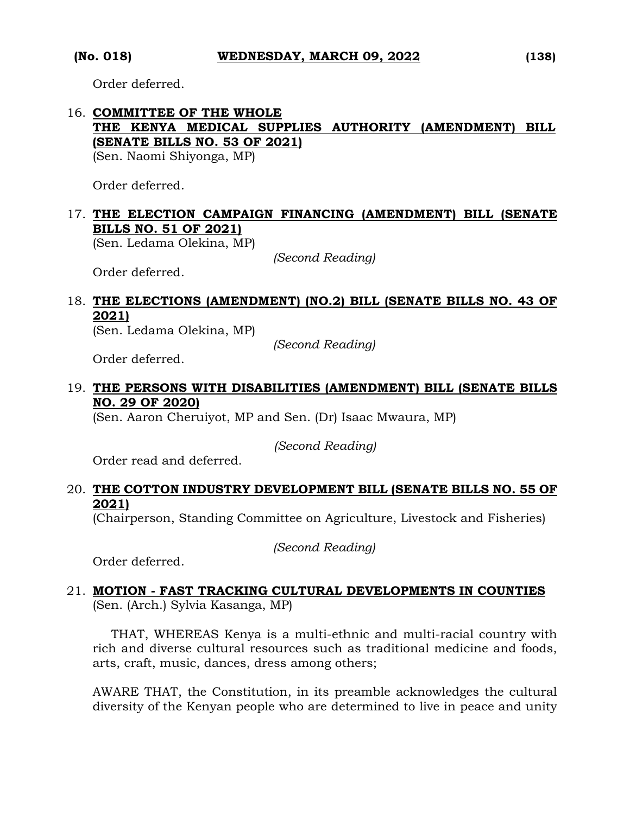Order deferred.

# 16. **COMMITTEE OF THE WHOLE THE KENYA MEDICAL SUPPLIES AUTHORITY (AMENDMENT) BILL (SENATE BILLS NO. 53 OF 2021)**

(Sen. Naomi Shiyonga, MP)

Order deferred.

## 17. **THE ELECTION CAMPAIGN FINANCING (AMENDMENT) BILL (SENATE BILLS NO. 51 OF 2021)**

(Sen. Ledama Olekina, MP)

*(Second Reading)*

Order deferred.

# 18. **THE ELECTIONS (AMENDMENT) (NO.2) BILL (SENATE BILLS NO. 43 OF 2021)**

(Sen. Ledama Olekina, MP)

*(Second Reading)*

Order deferred.

# 19. **THE PERSONS WITH DISABILITIES (AMENDMENT) BILL (SENATE BILLS NO. 29 OF 2020)**

(Sen. Aaron Cheruiyot, MP and Sen. (Dr) Isaac Mwaura, MP)

*(Second Reading)*

Order read and deferred.

# 20. **THE COTTON INDUSTRY DEVELOPMENT BILL (SENATE BILLS NO. 55 OF 2021)**

(Chairperson, Standing Committee on Agriculture, Livestock and Fisheries)

*(Second Reading)*

Order deferred.

# 21. **MOTION - FAST TRACKING CULTURAL DEVELOPMENTS IN COUNTIES**  (Sen. (Arch.) Sylvia Kasanga, MP)

THAT, WHEREAS Kenya is a multi-ethnic and multi-racial country with rich and diverse cultural resources such as traditional medicine and foods, arts, craft, music, dances, dress among others;

AWARE THAT, the Constitution, in its preamble acknowledges the cultural diversity of the Kenyan people who are determined to live in peace and unity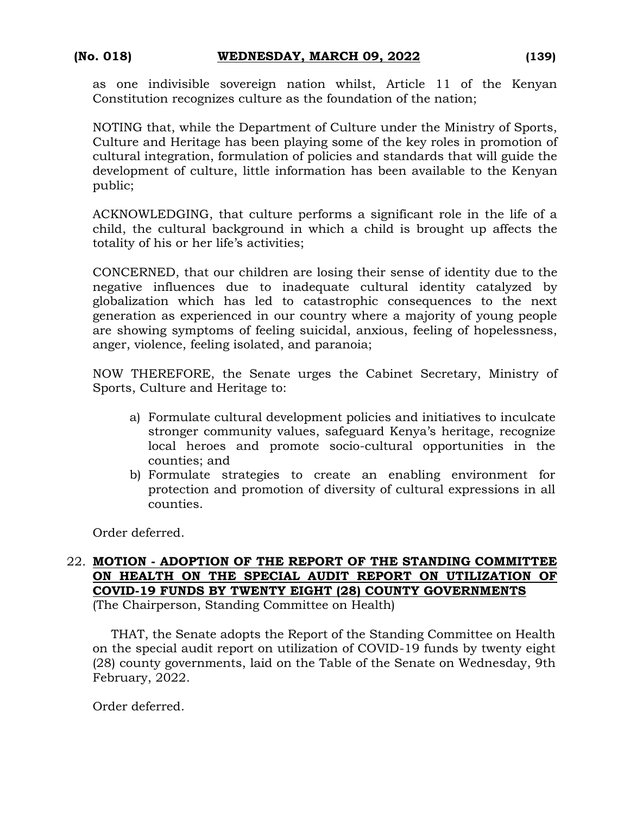as one indivisible sovereign nation whilst, Article 11 of the Kenyan Constitution recognizes culture as the foundation of the nation;

NOTING that, while the Department of Culture under the Ministry of Sports, Culture and Heritage has been playing some of the key roles in promotion of cultural integration, formulation of policies and standards that will guide the development of culture, little information has been available to the Kenyan public;

ACKNOWLEDGING, that culture performs a significant role in the life of a child, the cultural background in which a child is brought up affects the totality of his or her life's activities;

CONCERNED, that our children are losing their sense of identity due to the negative influences due to inadequate cultural identity catalyzed by globalization which has led to catastrophic consequences to the next generation as experienced in our country where a majority of young people are showing symptoms of feeling suicidal, anxious, feeling of hopelessness, anger, violence, feeling isolated, and paranoia;

NOW THEREFORE, the Senate urges the Cabinet Secretary, Ministry of Sports, Culture and Heritage to:

- a) Formulate cultural development policies and initiatives to inculcate stronger community values, safeguard Kenya's heritage, recognize local heroes and promote socio-cultural opportunities in the counties; and
- b) Formulate strategies to create an enabling environment for protection and promotion of diversity of cultural expressions in all counties.

Order deferred.

## 22. **MOTION - ADOPTION OF THE REPORT OF THE STANDING COMMITTEE ON HEALTH ON THE SPECIAL AUDIT REPORT ON UTILIZATION OF COVID-19 FUNDS BY TWENTY EIGHT (28) COUNTY GOVERNMENTS**

(The Chairperson, Standing Committee on Health)

THAT, the Senate adopts the Report of the Standing Committee on Health on the special audit report on utilization of COVID-19 funds by twenty eight (28) county governments, laid on the Table of the Senate on Wednesday, 9th February, 2022.

Order deferred.